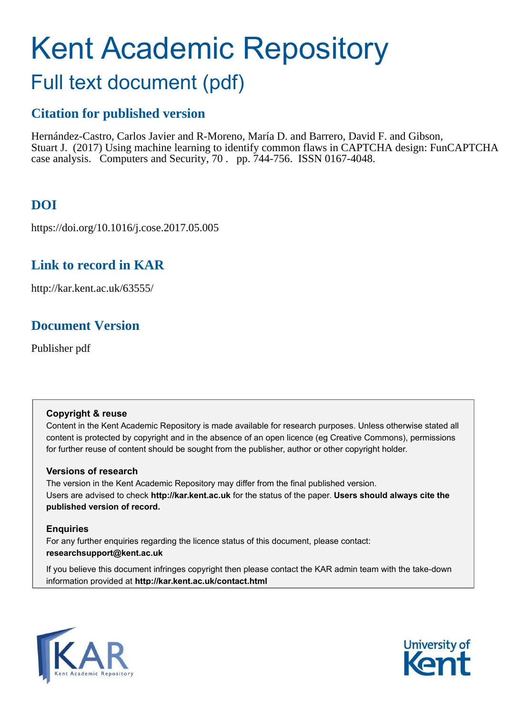# Kent Academic Repository

# Full text document (pdf)

### **Citation for published version**

Hernández-Castro, Carlos Javier and R-Moreno, María D. and Barrero, David F. and Gibson, Stuart J. (2017) Using machine learning to identify common flaws in CAPTCHA design: FunCAPTCHA case analysis. Computers and Security, 70 . pp. 744-756. ISSN 0167-4048.

### **DOI**

<span id="page-0-0"></span>https://doi.org/10.1016/j.cose.2017.05.005

### <span id="page-0-3"></span><span id="page-0-2"></span>**Link to record in KAR**

http://kar.kent.ac.uk/63555/

### **Document Version**

Publisher pdf

### **Copyright & reuse**

Content in the Kent Academic Repository is made available for research purposes. Unless otherwise stated all content is protected by copyright and in the absence of an open licence (eg Creative Commons), permissions for further reuse of content should be sought from the publisher, author or other copyright holder.

### **Versions of research**

The version in the Kent Academic Repository may differ from the final published version. Users are advised to check **http://kar.kent.ac.uk** for the status of the paper. **Users should always cite the published version of record.**

### **Enquiries**

For any further enquiries regarding the licence status of this document, please contact: **researchsupport@kent.ac.uk**

<span id="page-0-4"></span><span id="page-0-1"></span>If you believe this document infringes copyright then please contact the KAR admin team with the take-down information provided at **http://kar.kent.ac.uk/contact.html**

<span id="page-0-6"></span><span id="page-0-5"></span>

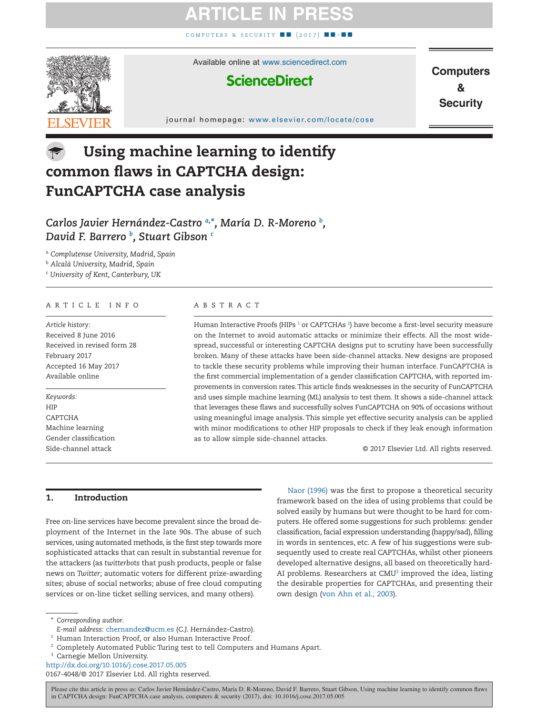### **ATICLE IN P**

COMPUTERS & SECURITY ■ (2017)



Available online at [www.sciencedirect.com](http://www.sciencedirect.com/science/journal/01674048)

### **ScienceDirect**

**Computers**  $\mathbf{a}$ **Security** 

#### journal homepage: [www.elsevier.com/locate/cose](http://www.elsevier.com/locate/COSE)

### Using machine learning to identify common flaws in CAPTCHA design: FunCAPTCHA case analysis

### *Carlos Javier Hernández-Castro [a,](#page-0-0) [\\*,](#page-0-1) María D. R-Moreno [b](#page-0-2) , David F. Barrero [b](#page-0-2) , Stuart Gibson [c](#page-0-3)*

<sup>a</sup> *Complutense University, Madrid, Spain*

<sup>b</sup> *Alcalá University, Madrid, Spain*

<sup>c</sup> *University of Kent, Canterbury, UK*

#### ARTICLE INFO

*Article history:* Received 8 June 2016 Received in revised form 28 February 2017 Accepted 16 May 2017 Available online

*Keywords:* HIP CAPTCHA Machine learning Gender classification Side-channel attack

#### ABSTRACT

Human Interactive Proofs (HIPs  $^1$  $^1$  or CAPTCHAs  $^2$  $^2$ ) have become a first-level security measure on the Internet to avoid automatic attacks or minimize their effects. All the most widespread, successful or interesting CAPTCHA designs put to scrutiny have been successfully broken. Many of these attacks have been side-channel attacks. New designs are proposed to tackle these security problems while improving their human interface. FunCAPTCHA is the first commercial implementation of a gender classification CAPTCHA, with reported improvements in conversion rates.This article finds weaknesses in the security of FunCAPTCHA and uses simple machine learning (ML) analysis to test them. It shows a side-channel attack that leverages these flaws and successfully solves FunCAPTCHA on 90% of occasions without using meaningful image analysis. This simple yet effective security analysis can be applied with minor modifications to other HIP proposals to check if they leak enough information as to allow simple side-channel attacks.

© 2017 Elsevier Ltd. All rights reserved.

#### 1. Introduction

Free on-line services have become prevalent since the broad deployment of the Internet in the late 90s. The abuse of such services, using automated methods, is the first step towards more sophisticated attacks that can result in substantial revenue for the attackers (as *twitterbots* that push products, people or false news on *Twitter*; automatic voters for different prize-awarding sites; abuse of social networks; abuse of free cloud computing services or on-line ticket selling services, and many others).

[Naor \(1996\)](#page-11-0) was the first to propose a theoretical security framework based on the idea of using problems that could be solved easily by humans but were thought to be hard for computers. He offered some suggestions for such problems: gender classification, facial expression understanding (happy/sad), filling in words in sentences, etc. A few of his suggestions were subsequently used to create real CAPTCHAs, whilst other pioneers developed alternative designs, all based on theoretically hard-AI problems. Researchers at  $CMU<sup>3</sup>$  $CMU<sup>3</sup>$  $CMU<sup>3</sup>$  improved the idea, listing the desirable properties for CAPTCHAs, and presenting their own design [\(von Ahn et al., 2003\)](#page-11-1).

0167-4048/© 2017 Elsevier Ltd. All rights reserved.

<sup>\*</sup> *Corresponding author.*

*E-mail address:* [chernandez@ucm.es](mailto:chernandez@ucm.es) (C.J. Hernández-Castro).

<sup>&</sup>lt;sup>1</sup> Human Interaction Proof, or also Human Interactive Proof.

<sup>&</sup>lt;sup>2</sup> Completely Automated Public Turing test to tell Computers and Humans Apart.

<sup>&</sup>lt;sup>3</sup> Carnegie Mellon University.

<span id="page-1-0"></span>http://dx.doi.org/10.1016/j.cose.2017.05.005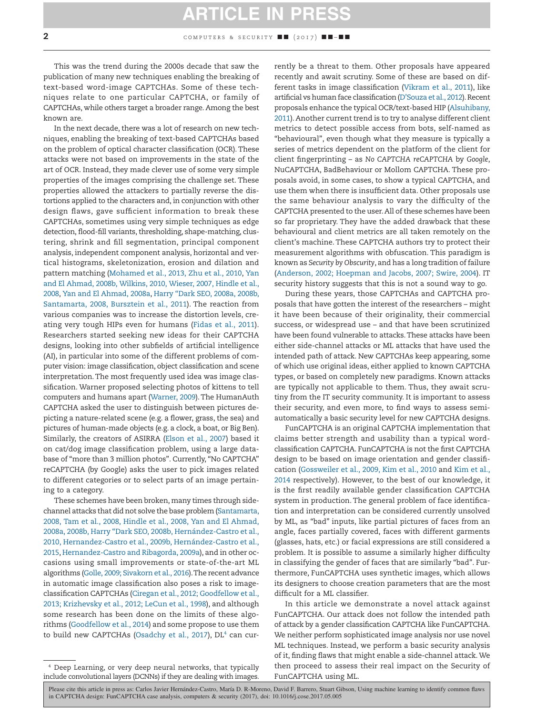### **ARTICLE IN PRESS**

<span id="page-2-0"></span>This was the trend during the 2000s decade that saw the publication of many new techniques enabling the breaking of text-based word-image CAPTCHAs. Some of these techniques relate to one particular CAPTCHA, or family of CAPTCHAs, while others target a broader range. Among the best known are.

In the next decade, there was a lot of research on new techniques, enabling the breaking of text-based CAPTCHAs based on the problem of optical character classification (OCR). These attacks were not based on improvements in the state of the art of OCR. Instead, they made clever use of some very simple properties of the images comprising the challenge set. These properties allowed the attackers to partially reverse the distortions applied to the characters and, in conjunction with other design flaws, gave sufficient information to break these CAPTCHAs, sometimes using very simple techniques as edge detection, flood-fill variants, thresholding, shape-matching, clustering, shrink and fill segmentation, principal component analysis, independent component analysis, horizontal and vertical histograms, skeletonization, erosion and dilation and pattern matching [\(Mohamed et al., 2013, Zhu et al., 2010,](#page-11-2) [Yan](#page-11-3) [and El Ahmad, 2008b, Wilkins, 2010, Wieser, 2007, Hindle et al.,](#page-11-3) [2008,](#page-11-3) [Yan and El Ahmad, 2008a,](#page-11-4) [Harry "Dark SEO, 2008a, 2008b,](#page-11-5) [Santamarta, 2008, Bursztein et al., 2011\)](#page-11-5). The reaction from various companies was to increase the distortion levels, creating very tough HIPs even for humans [\(Fidas et al., 2011\)](#page-10-0). Researchers started seeking new ideas for their CAPTCHA designs, looking into other subfields of artificial intelligence (AI), in particular into some of the different problems of computer vision: image classification, object classification and scene interpretation. The most frequently used idea was image classification. Warner proposed selecting photos of kittens to tell computers and humans apart [\(Warner, 2009\)](#page-11-6). The HumanAuth CAPTCHA asked the user to distinguish between pictures depicting a nature-related scene (e.g. a flower, grass, the sea) and pictures of human-made objects (e.g. a clock, a boat, or Big Ben). Similarly, the creators of ASIRRA [\(Elson et al., 2007\)](#page-10-1) based it on cat/dog image classification problem, using a large database of "more than 3 million photos". Currently, "No CAPTCHA" reCAPTCHA (by Google) asks the user to pick images related to different categories or to select parts of an image pertaining to a category.

These schemes have been broken, many times through sidechannel attacks that did not solve the base problem [\(Santamarta,](#page-11-7) [2008, Tam et al., 2008, Hindle et al., 2008, Yan and El Ahmad,](#page-11-7) [2008a, 2008b, Harry "Dark SEO, 2008b, Hernández-Castro et al.,](#page-11-7) [2010, Hernandez-Castro et al., 2009b, Hernández-Castro et al.,](#page-11-7) [2015,](#page-11-7) [Hernandez-Castro and Ribagorda, 2009a\)](#page-11-8), and in other occasions using small improvements or state-of-the-art ML algorithms [\(Golle, 2009; Sivakorn et al., 2016\)](#page-11-9).The recent advance in automatic image classification also poses a risk to imageclassification CAPTCHAs [\(Ciregan et al., 2012; Goodfellow et al.,](#page-10-2) [2013; Krizhevsky et al., 2012; LeCun et al., 1998\)](#page-10-2), and although some research has been done on the limits of these algorithms [\(Goodfellow et al., 2014\)](#page-11-10) and some propose to use them to build new CAPTCHAs [\(Osadchy et al., 2017\)](#page-11-11), DL<sup>[4](#page-1-0)</sup> can cur-

<sup>4</sup> Deep Learning, or very deep neural networks, that typically include convolutional layers (DCNNs) if they are dealing with images.

rently be a threat to them. Other proposals have appeared recently and await scrutiny. Some of these are based on different tasks in image classification [\(Vikram et al., 2011\)](#page-11-12), like artificial vs human face classification [\(D'Souza et al., 2012\)](#page-10-3). Recent proposals enhance the typical OCR/text-based HIP [\(Alsuhibany,](#page-10-4) [2011\)](#page-10-4). Another current trend is to try to analyse different client metrics to detect possible access from bots, self-named as "behavioural", even though what they measure is typically a series of metrics dependent on the platform of the client for client fingerprinting – as *No CAPTCHA reCAPTCHA* by *Google*, NuCAPTCHA, BadBehaviour or Mollom CAPTCHA. These proposals avoid, in some cases, to show a typical CAPTCHA, and use them when there is insufficient data. Other proposals use the same behaviour analysis to vary the difficulty of the CAPTCHA presented to the user.All of these schemes have been so far proprietary. They have the added drawback that these behavioural and client metrics are all taken remotely on the client's machine. These CAPTCHA authors try to protect their measurement algorithms with obfuscation. This paradigm is known as *Security by Obscurity*, and has a long tradition of failure [\(Anderson, 2002; Hoepman and Jacobs, 2007; Swire, 2004\)](#page-10-5). IT security history suggests that this is not a sound way to go.

During these years, those CAPTCHAs and CAPTCHA proposals that have gotten the interest of the researchers – might it have been because of their originality, their commercial success, or widespread use – and that have been scrutinized have been found vulnerable to attacks.These attacks have been either side-channel attacks or ML attacks that have used the intended path of attack. New CAPTCHAs keep appearing, some of which use original ideas, either applied to known CAPTCHA types, or based on completely new paradigms. Known attacks are typically not applicable to them. Thus, they await scrutiny from the IT security community. It is important to assess their security, and even more, to find ways to assess semiautomatically a basic security level for new CAPTCHA designs.

FunCAPTCHA is an original CAPTCHA implementation that claims better strength and usability than a typical wordclassification CAPTCHA. FunCAPTCHA is not the first CAPTCHA design to be based on image orientation and gender classification [\(Gossweiler et al., 2009, Kim et al., 2010](#page-11-13) and [Kim et al.,](#page-11-14) [2014](#page-11-14) respectively). However, to the best of our knowledge, it is the first readily available gender classification CAPTCHA system in production. The general problem of face identification and interpretation can be considered currently unsolved by ML, as "bad" inputs, like partial pictures of faces from an angle, faces partially covered, faces with different garments (glasses, hats, etc.) or facial expressions are still considered a problem. It is possible to assume a similarly higher difficulty in classifying the gender of faces that are similarly "bad". Furthermore, FunCAPTCHA uses synthetic images, which allows its designers to choose creation parameters that are the most difficult for a ML classifier.

In this article we demonstrate a novel attack against FunCAPTCHA. Our attack does not follow the intended path of attack by a gender classification CAPTCHA like FunCAPTCHA. We neither perform sophisticated image analysis nor use novel ML techniques. Instead, we perform a basic security analysis of it, finding flaws that might enable a side-channel attack. We then proceed to assess their real impact on the Security of FunCAPTCHA using ML.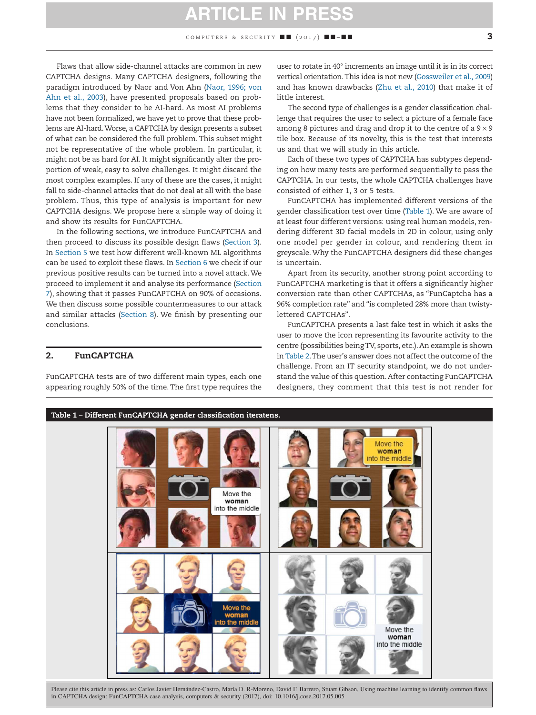### **ARTICLE IN PR**

Flaws that allow side-channel attacks are common in new CAPTCHA designs. Many CAPTCHA designers, following the paradigm introduced by Naor and Von Ahn [\(Naor, 1996; von](#page-11-0) [Ahn et al., 2003\)](#page-11-0), have presented proposals based on problems that they consider to be AI-hard. As most AI problems have not been formalized, we have yet to prove that these problems are AI-hard.Worse, a CAPTCHA by design presents a subset of what can be considered the full problem. This subset might not be representative of the whole problem. In particular, it might not be as hard for AI. It might significantly alter the proportion of weak, easy to solve challenges. It might discard the most complex examples. If any of these are the cases, it might fall to side-channel attacks that do not deal at all with the base problem. Thus, this type of analysis is important for new CAPTCHA designs. We propose here a simple way of doing it and show its results for FunCAPTCHA.

In the following sections, we introduce FunCAPTCHA and then proceed to discuss its possible design flaws (Section 3). In Section 5 we test how different well-known ML algorithms can be used to exploit these flaws. In Section 6 we check if our previous positive results can be turned into a novel attack. We proceed to implement it and analyse its performance (Section 7), showing that it passes FunCAPTCHA on 90% of occasions. We then discuss some possible countermeasures to our attack and similar attacks (Section 8). We finish by presenting our conclusions.

#### 2. FunCAPTCHA

FunCAPTCHA tests are of two different main types, each one appearing roughly 50% of the time. The first type requires the

user to rotate in 40° increments an image until it is in its correct vertical orientation.This idea is not new [\(Gossweiler et al., 2009\)](#page-11-13) and has known drawbacks [\(Zhu et al., 2010\)](#page-11-15) that make it of little interest.

The second type of challenges is a gender classification challenge that requires the user to select a picture of a female face among 8 pictures and drag and drop it to the centre of a  $9 \times 9$ tile box. Because of its novelty, this is the test that interests us and that we will study in this article.

Each of these two types of CAPTCHA has subtypes depending on how many tests are performed sequentially to pass the CAPTCHA. In our tests, the whole CAPTCHA challenges have consisted of either 1, 3 or 5 tests.

FunCAPTCHA has implemented different versions of the gender classification test over time [\(Table 1\)](#page-2-0). We are aware of at least four different versions: using real human models, rendering different 3D facial models in 2D in colour, using only one model per gender in colour, and rendering them in greyscale. Why the FunCAPTCHA designers did these changes is uncertain.

Apart from its security, another strong point according to FunCAPTCHA marketing is that it offers a significantly higher conversion rate than other CAPTCHAs, as "FunCaptcha has a 96% completion rate" and "is completed 28% more than twistylettered CAPTCHAs".

FunCAPTCHA presents a last fake test in which it asks the user to move the icon representing its favourite activity to the centre (possibilities beingTV, sports, etc.).An example is shown in Table 2.The user's answer does not affect the outcome of the challenge. From an IT security standpoint, we do not understand the value of this question.After contacting FunCAPTCHA designers, they comment that this test is not render for

<span id="page-3-0"></span>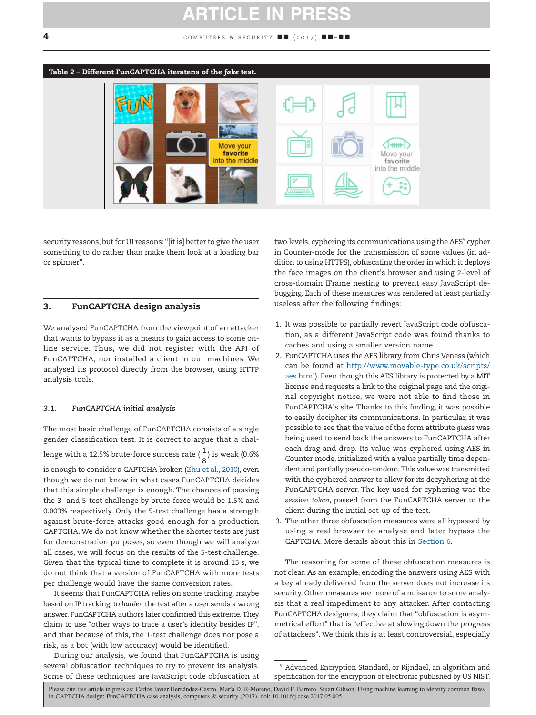### **ARTICLE IN P**

#### 4 **computers & security**  $\blacksquare$   $(2017)$   $\blacksquare$   $\blacksquare$



security reasons, but for UI reasons: "[it is] better to give the user something to do rather than make them look at a loading bar or spinner".

#### 3. FunCAPTCHA design analysis

We analysed FunCAPTCHA from the viewpoint of an attacker that wants to bypass it as a means to gain access to some online service. Thus, we did not register with the API of FunCAPTCHA, nor installed a client in our machines. We analysed its protocol directly from the browser, using HTTP analysis tools.

#### *3.1. FunCAPTCHA initial analysis*

The most basic challenge of FunCAPTCHA consists of a single gender classification test. It is correct to argue that a challenge with a 12.5% brute-force success rate ( $\frac{1}{8}$ ) is weak (0.6%) is enough to consider a CAPTCHA broken [\(Zhu et al., 2010\)](#page-11-15), even though we do not know in what cases FunCAPTCHA decides that this simple challenge is enough. The chances of passing the 3- and 5-test challenge by brute-force would be 1.5% and 0.003% respectively. Only the 5-test challenge has a strength against brute-force attacks good enough for a production CAPTCHA. We do not know whether the shorter tests are just for demonstration purposes, so even though we will analyze all cases, we will focus on the results of the 5-test challenge. Given that the typical time to complete it is around 15 s, we do not think that a version of FunCAPTCHA with more tests per challenge would have the same conversion rates.

It seems that FunCAPTCHA relies on some tracking, maybe based on IP tracking, to *harden* the test after a user sends a wrong answer. FunCAPTCHA authors later confirmed this extreme.They claim to use "other ways to trace a user's identity besides IP", and that because of this, the 1-test challenge does not pose a risk, as a bot (with low accuracy) would be identified.

<span id="page-4-1"></span><span id="page-4-0"></span>During our analysis, we found that FunCAPTCHA is using several obfuscation techniques to try to prevent its analysis. Some of these techniques are JavaScript code obfuscation at

two levels, cyphering its communications using the AES<sup>[5](#page-3-0)</sup> cypher in Counter-mode for the transmission of some values (in addition to using HTTPS), obfuscating the order in which it deploys the face images on the client's browser and using 2-level of cross-domain IFrame nesting to prevent easy JavaScript debugging. Each of these measures was rendered at least partially useless after the following findings:

- 1. It was possible to partially revert JavaScript code obfuscation, as a different JavaScript code was found thanks to caches and using a smaller version name.
- 2. FunCAPTCHA uses the AES library from Chris Veness (which can be found at [http://www.movable-type.co.uk/scripts/](http://www.movable-type.co.uk/scripts/aes.html) [aes.html\)](http://www.movable-type.co.uk/scripts/aes.html). Even though this AES library is protected by a MIT license and requests a link to the original page and the original copyright notice, we were not able to find those in FunCAPTCHA's site. Thanks to this finding, it was possible to easily decipher its communications. In particular, it was possible to see that the value of the form attribute *guess* was being used to send back the answers to FunCAPTCHA after each drag and drop. Its value was cyphered using AES in Counter mode, initialized with a value partially time dependent and partially pseudo-random.This value was transmitted with the cyphered answer to allow for its decyphering at the FunCAPTCHA server. The key used for cyphering was the *session\_token*, passed from the FunCAPTCHA server to the client during the initial set-up of the test.
- 3. The other three obfuscation measures were all bypassed by using a real browser to analyse and later bypass the CAPTCHA. More details about this in Section 6.

The reasoning for some of these obfuscation measures is not clear. As an example, encoding the answers using AES with a key already delivered from the server does not increase its security. Other measures are more of a nuisance to some analysis that a real impediment to any attacker. After contacting FunCAPTCHA designers, they claim that "obfuscation is asymmetrical effort" that is "effective at slowing down the progress of attackers". We think this is at least controversial, especially

<sup>&</sup>lt;sup>5</sup> Advanced Encryption Standard, or Rijndael, an algorithm and specification for the encryption of electronic published by US NIST.

Please cite this article in press as: Carlos Javier Hernández-Castro, María D. R-Moreno, David F. Barrero, Stuart Gibson, Using machine learning to identify common flaws in CAPTCHA design: FunCAPTCHA case analysis, computers & security (2017), doi: 10.1016/j.cose.2017.05.005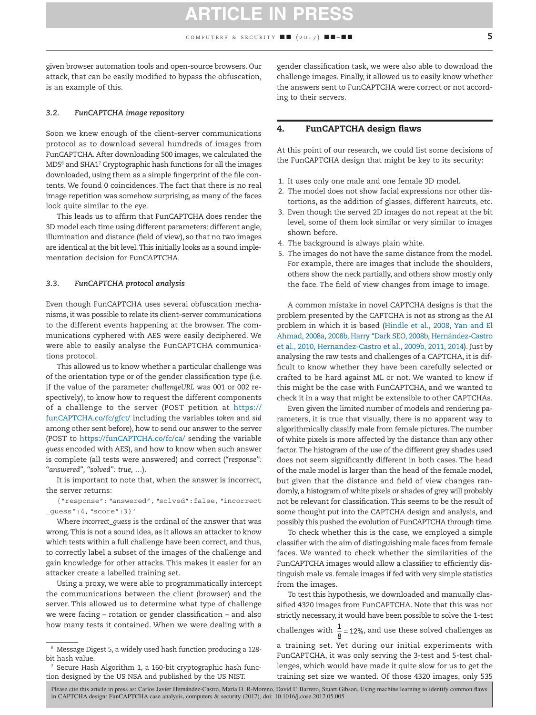<span id="page-5-1"></span>given browser automation tools and open-source browsers. Our attack, that can be easily modified to bypass the obfuscation, is an example of this.

#### *3.2. FunCAPTCHA image repository*

Soon we knew enough of the client–server communications protocol as to download several hundreds of images from FunCAPTCHA. After downloading 500 images, we calculated the MD5[6](#page-4-0) and SHA1[7](#page-4-1) Cryptographic hash functions for all the images downloaded, using them as a simple fingerprint of the file contents. We found 0 coincidences. The fact that there is no real image repetition was somehow surprising, as many of the faces look quite similar to the eye.

This leads us to affirm that FunCAPTCHA does render the 3D model each time using different parameters: different angle, illumination and distance (field of view), so that no two images are identical at the bit level.This initially looks as a sound implementation decision for FunCAPTCHA.

#### *3.3. FunCAPTCHA protocol analysis*

Even though FunCAPTCHA uses several obfuscation mechanisms, it was possible to relate its client–server communications to the different events happening at the browser. The communications cyphered with AES were easily deciphered. We were able to easily analyse the FunCAPTCHA communications protocol.

This allowed us to know whether a particular challenge was of the orientation type or of the gender classification type (i.e. if the value of the parameter *challengeURL* was 001 or 002 respectively), to know how to request the different components of a challenge to the server (POST petition at [https://](https://funCAPTCHA.co/fc/gfct/) [funCAPTCHA.co/fc/gfct/](https://funCAPTCHA.co/fc/gfct/) including the variables *token* and *sid* among other sent before), how to send our answer to the server (POST to <https://funCAPTCHA.co/fc/ca/> sending the variable *guess* encoded with AES), and how to know when such answer is complete (all tests were answered) and correct (*"response": "answered", "solved": true, …*).

It is important to note that, when the answer is incorrect, the server returns:

{"response":"answered","solved":false,"incorrect \_guess":4,"score":3}'

Where *incorrect\_guess* is the ordinal of the answer that was wrong.This is not a sound idea, as it allows an attacker to know which tests within a full challenge have been correct, and thus, to correctly label a subset of the images of the challenge and gain knowledge for other attacks. This makes it easier for an attacker create a labelled training set.

Using a proxy, we were able to programmatically intercept the communications between the client (browser) and the server. This allowed us to determine what type of challenge we were facing – rotation or gender classification – and also how many tests it contained. When we were dealing with a gender classification task, we were also able to download the challenge images. Finally, it allowed us to easily know whether the answers sent to FunCAPTCHA were correct or not according to their servers.

#### 4. FunCAPTCHA design flaws

At this point of our research, we could list some decisions of the FunCAPTCHA design that might be key to its security:

- 1. It uses only one male and one female 3D model.
- 2. The model does not show facial expressions nor other distortions, as the addition of glasses, different haircuts, etc.
- 3. Even though the served 2D images do not repeat at the bit level, some of them *look* similar or very similar to images shown before.
- 4. The background is always plain white.
- 5. The images do not have the same distance from the model. For example, there are images that include the shoulders, others show the neck partially, and others show mostly only the face. The field of view changes from image to image.

A common mistake in novel CAPTCHA designs is that the problem presented by the CAPTCHA is not as strong as the AI problem in which it is based [\(Hindle et al., 2008, Yan and El](#page-11-16) [Ahmad, 2008a, 2008b, Harry "Dark SEO, 2008b, Hernández-Castro](#page-11-16) [et al., 2010, Hernandez-Castro et al., 2009b, 2011, 2014\)](#page-11-16). Just by analysing the raw tests and challenges of a CAPTCHA, it is difficult to know whether they have been carefully selected or crafted to be hard against ML or not. We wanted to know if this might be the case with FunCAPTCHA, and we wanted to check it in a way that might be extensible to other CAPTCHAs.

Even given the limited number of models and rendering parameters, it is true that visually, there is no apparent way to algorithmically classify male from female pictures.The number of white pixels is more affected by the distance than any other factor.The histogram of the use of the different grey shades used does not seem significantly different in both cases. The head of the male model is larger than the head of the female model, but given that the distance and field of view changes randomly, a histogram of white pixels or shades of grey will probably not be relevant for classification. This seems to be the result of some thought put into the CAPTCHA design and analysis, and possibly this pushed the evolution of FunCAPTCHA through time.

To check whether this is the case, we employed a simple classifier with the aim of distinguishing male faces from female faces. We wanted to check whether the similarities of the FunCAPTCHA images would allow a classifier to efficiently distinguish male vs. female images if fed with very simple statistics from the images.

To test this hypothesis, we downloaded and manually classified 4320 images from FunCAPTCHA. Note that this was not strictly necessary, it would have been possible to solve the 1-test challenges with  $\frac{1}{8}$  = 12%, and use these solved challenges as a training set. Yet during our initial experiments with FunCAPTCHA, it was only serving the 3-test and 5-test challenges, which would have made it quite slow for us to get the training set size we wanted. Of those 4320 images, only 535

<sup>6</sup> Message Digest 5, a widely used hash function producing a 128 bit hash value.

<span id="page-5-0"></span> $7$  Secure Hash Algorithm 1, a 160-bit cryptographic hash function designed by the US NSA and published by the US NIST.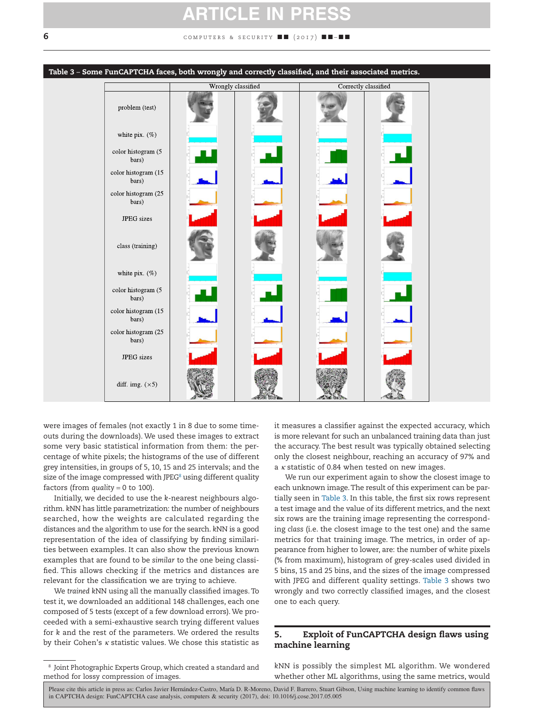### **ARTICLE IN P**

<span id="page-6-0"></span>**6 computers & SECURITY ■■ (2017) ■■ ■** 



were images of females (not exactly 1 in 8 due to some timeouts during the downloads). We used these images to extract some very basic statistical information from them: the percentage of white pixels; the histograms of the use of different grey intensities, in groups of 5, 10, 15 and 25 intervals; and the size of the image compressed with JPEG<sup>[8](#page-5-0)</sup> using different quality factors (from *quality* = 0 to 100).

Initially, we decided to use the *k*-nearest neighbours algorithm. *k*NN has little parametrization: the number of neighbours searched, how the weights are calculated regarding the distances and the algorithm to use for the search. *k*NN is a good representation of the idea of classifying by finding similarities between examples. It can also show the previous known examples that are found to be *similar* to the one being classified. This allows checking if the metrics and distances are relevant for the classification we are trying to achieve.

We *trained k*NN using all the manually classified images. To test it, we downloaded an additional 148 challenges, each one composed of 5 tests (except of a few download errors). We proceeded with a semi-exhaustive search trying different values for *k* and the rest of the parameters. We ordered the results by their Cohen's *κ* statistic values. We chose this statistic as

it measures a classifier against the expected accuracy, which is more relevant for such an unbalanced training data than just the accuracy. The best result was typically obtained selecting only the closest neighbour, reaching an accuracy of 97% and a *κ* statistic of 0.84 when tested on new images.

We run our experiment again to show the closest image to each unknown image.The result of this experiment can be partially seen in [Table 3.](#page-5-1) In this table, the first six rows represent a test image and the value of its different metrics, and the next six rows are the training image representing the corresponding *class* (i.e. the closest image to the test one) and the same metrics for that training image. The metrics, in order of appearance from higher to lower, are: the number of white pixels (% from maximum), histogram of grey-scales used divided in 5 bins, 15 and 25 bins, and the sizes of the image compressed with JPEG and different quality settings. [Table 3](#page-5-1) shows two wrongly and two correctly classified images, and the closest one to each query.

#### 5. Exploit of FunCAPTCHA design flaws using machine learning

*k*NN is possibly the simplest ML algorithm. We wondered whether other ML algorithms, using the same metrics, would

 $^{\rm 8}$  Joint Photographic Experts Group, which created a standard and method for lossy compression of images.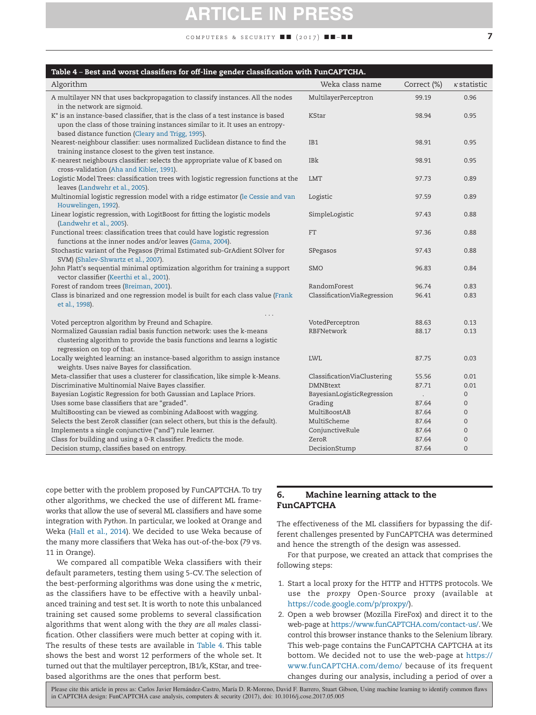## **ARTICLE IN PR**

COMPUTERS & SECURITY  $\blacksquare$  (2017)  $\blacksquare$   $\blacksquare$ 

<span id="page-7-0"></span>

| Table 4 – Best and worst classifiers for off-line gender classification with FunCAPTCHA.                                                                                                                                            |                             |              |                    |  |  |  |  |
|-------------------------------------------------------------------------------------------------------------------------------------------------------------------------------------------------------------------------------------|-----------------------------|--------------|--------------------|--|--|--|--|
| Algorithm                                                                                                                                                                                                                           | Weka class name             | Correct (%)  | $\kappa$ statistic |  |  |  |  |
| A multilayer NN that uses backpropagation to classify instances. All the nodes<br>in the network are sigmoid.                                                                                                                       | MultilayerPerceptron        | 99.19        | 0.96               |  |  |  |  |
| K <sup>*</sup> is an instance-based classifier, that is the class of a test instance is based<br>upon the class of those training instances similar to it. It uses an entropy-<br>based distance function (Cleary and Trigg, 1995). | <b>KStar</b>                | 98.94        | 0.95               |  |  |  |  |
| Nearest-neighbour classifier: uses normalized Euclidean distance to find the<br>training instance closest to the given test instance.                                                                                               | IB1                         | 98.91        | 0.95               |  |  |  |  |
| K-nearest neighbours classifier: selects the appropriate value of K based on<br>cross-validation (Aha and Kibler, 1991).                                                                                                            | IBk                         | 98.91        | 0.95               |  |  |  |  |
| Logistic Model Trees: classification trees with logistic regression functions at the<br>leaves (Landwehr et al., 2005).                                                                                                             | <b>LMT</b>                  | 97.73        | 0.89               |  |  |  |  |
| Multinomial logistic regression model with a ridge estimator (le Cessie and van<br>Houwelingen, 1992).                                                                                                                              | Logistic                    | 97.59        | 0.89               |  |  |  |  |
| Linear logistic regression, with LogitBoost for fitting the logistic models<br>(Landwehr et al., 2005).                                                                                                                             | SimpleLogistic              | 97.43        | 0.88               |  |  |  |  |
| Functional trees: classification trees that could have logistic regression<br>functions at the inner nodes and/or leaves (Gama, 2004).                                                                                              | <b>FT</b>                   | 97.36        | 0.88               |  |  |  |  |
| Stochastic variant of the Pegasos (Primal Estimated sub-GrAdient SOlver for<br>SVM) (Shalev-Shwartz et al., 2007).                                                                                                                  | SPegasos                    | 97.43        | 0.88               |  |  |  |  |
| John Platt's sequential minimal optimization algorithm for training a support<br>vector classifier (Keerthi et al., 2001).                                                                                                          | <b>SMO</b>                  | 96.83        | 0.84               |  |  |  |  |
| Forest of random trees (Breiman, 2001).                                                                                                                                                                                             | RandomForest                | 96.74        | 0.83               |  |  |  |  |
| Class is binarized and one regression model is built for each class value (Frank<br>et al., 1998).                                                                                                                                  | ClassificationViaRegression | 96.41        | 0.83               |  |  |  |  |
| Voted perceptron algorithm by Freund and Schapire.                                                                                                                                                                                  | VotedPerceptron             | 88.63        | 0.13               |  |  |  |  |
| Normalized Gaussian radial basis function network: uses the k-means<br>clustering algorithm to provide the basis functions and learns a logistic<br>regression on top of that.                                                      | RBFNetwork                  | 88.17        | 0.13               |  |  |  |  |
| Locally weighted learning: an instance-based algorithm to assign instance<br>weights. Uses naive Bayes for classification.                                                                                                          | <b>LWL</b>                  | 87.75        | 0.03               |  |  |  |  |
| Meta-classifier that uses a clusterer for classification, like simple k-Means.                                                                                                                                                      | ClassificationViaClustering | 55.56        | 0.01               |  |  |  |  |
| Discriminative Multinomial Naive Bayes classifier.                                                                                                                                                                                  | <b>DMNBtext</b>             | 87.71        | 0.01               |  |  |  |  |
| Bayesian Logistic Regression for both Gaussian and Laplace Priors.                                                                                                                                                                  | BayesianLogisticRegression  | $\mathbf{r}$ | $\mathbf{0}$       |  |  |  |  |
| Uses some base classifiers that are "graded".                                                                                                                                                                                       | Grading                     | 87.64        | $\mathbf{0}$       |  |  |  |  |
| MultiBoosting can be viewed as combining AdaBoost with wagging.                                                                                                                                                                     | MultiBoostAB                | 87.64        | $\mathbf{0}$       |  |  |  |  |
| Selects the best ZeroR classifier (can select others, but this is the default).                                                                                                                                                     | MultiScheme                 | 87.64        | $\mathbf{0}$       |  |  |  |  |
| Implements a single conjunctive ("and") rule learner.                                                                                                                                                                               | ConjunctiveRule             | 87.64        | $\mathbf{0}$       |  |  |  |  |
| Class for building and using a 0-R classifier. Predicts the mode.                                                                                                                                                                   | ZeroR                       | 87.64        | $\mathbf 0$        |  |  |  |  |
| Decision stump, classifies based on entropy.                                                                                                                                                                                        | DecisionStump               | 87.64        | $\mathbf{0}$       |  |  |  |  |

cope better with the problem proposed by FunCAPTCHA. To try other algorithms, we checked the use of different ML frameworks that allow the use of several ML classifiers and have some integration with *Python*. In particular, we looked at Orange and Weka [\(Hall et al., 2014\)](#page-11-17). We decided to use Weka because of the many more classifiers that Weka has out-of-the-box (79 vs. 11 in Orange).

We compared all compatible Weka classifiers with their default parameters, testing them using 5-CV. The selection of the best-performing algorithms was done using the *κ* metric, as the classifiers have to be effective with a heavily unbalanced training and test set. It is worth to note this unbalanced training set caused some problems to several classification algorithms that went along with the *they are all males* classification. Other classifiers were much better at coping with it. The results of these tests are available in [Table 4.](#page-6-0) This table shows the best and worst 12 performers of the whole set. It turned out that the multilayer perceptron, IB1/k, KStar, and treebased algorithms are the ones that perform best.

#### 6. Machine learning attack to the FunCAPTCHA

The effectiveness of the ML classifiers for bypassing the different challenges presented by FunCAPTCHA was determined and hence the strength of the design was assessed.

For that purpose, we created an attack that comprises the following steps:

- 1. Start a local proxy for the HTTP and HTTPS protocols. We use the *proxpy* Open-Source proxy (available at [https://code.google.com/p/proxpy/\)](https://code.google.com/p/proxpy/).
- 2. Open a web browser (Mozilla FireFox) and direct it to the web-page at [https://www.funCAPTCHA.com/contact-us/.](https://www.funCAPTCHA.com/contact-us/) We control this browser instance thanks to the Selenium library. This web-page contains the FunCAPTCHA CAPTCHA at its bottom. We decided not to use the web-page at [https://](https://www.funCAPTCHA.com/demo/) [www.funCAPTCHA.com/demo/](https://www.funCAPTCHA.com/demo/) because of its frequent changes during our analysis, including a period of over a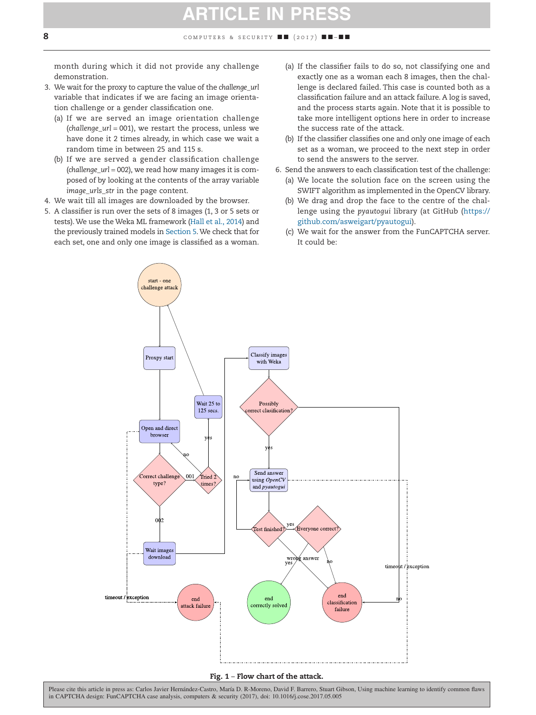<span id="page-8-0"></span>month during which it did not provide any challenge demonstration.

- 3. We wait for the proxy to capture the value of the *challenge\_url* variable that indicates if we are facing an image orientation challenge or a gender classification one.
	- (a) If we are served an image orientation challenge (*challenge\_url* = 001), we restart the process, unless we have done it 2 times already, in which case we wait a random time in between 25 and 115 s.
	- (b) If we are served a gender classification challenge (*challenge\_url* = 002), we read how many images it is composed of by looking at the contents of the array variable *image urls str in the page content.*
- 4. We wait till all images are downloaded by the browser.
- 5. A classifier is run over the sets of 8 images (1, 3 or 5 sets or tests). We use the Weka ML framework [\(Hall et al., 2014\)](#page-11-17) and the previously trained models in Section 5. We check that for each set, one and only one image is classified as a woman.
- (a) If the classifier fails to do so, not classifying one and exactly one as a woman each 8 images, then the challenge is declared failed. This case is counted both as a classification failure and an attack failure. A log is saved, and the process starts again. Note that it is possible to take more intelligent options here in order to increase the success rate of the attack.
- (b) If the classifier classifies one and only one image of each set as a woman, we proceed to the next step in order to send the answers to the server.
- 6. Send the answers to each classification test of the challenge:
	- (a) We locate the solution face on the screen using the SWIFT algorithm as implemented in the OpenCV library.
	- (b) We drag and drop the face to the centre of the challenge using the *pyautogui* library (at GitHub [\(https://](https://github.com/asweigart/pyautogui) [github.com/asweigart/pyautogui\)](https://github.com/asweigart/pyautogui).
	- (c) We wait for the answer from the FunCAPTCHA server. It could be:



#### Fig. 1 – Flow chart of the attack.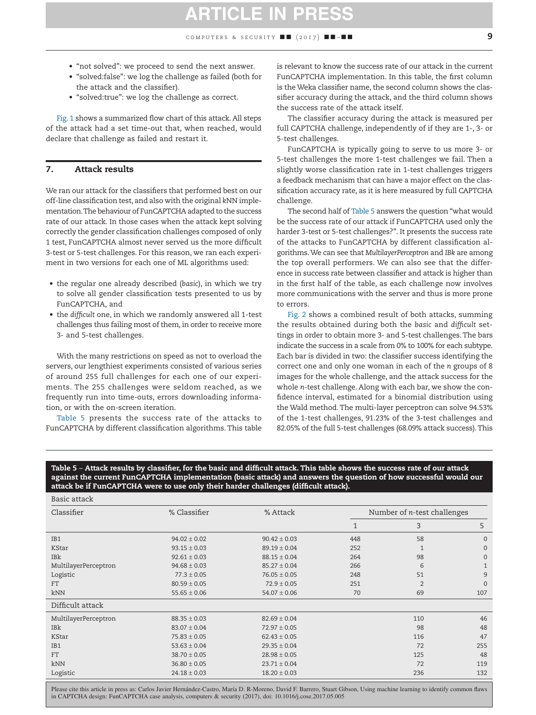### **ARTICLE IN PRE**

COMPUTERS & SECURITY  $\blacksquare$  (2017)  $\blacksquare$   $\blacksquare$ 

- "not solved": we proceed to send the next answer.
- "solved:false": we log the challenge as failed (both for the attack and the classifier).
- "solved:true": we log the challenge as correct.

[Fig. 1](#page-7-0) shows a summarized flow chart of this attack. All steps of the attack had a set time-out that, when reached, would declare that challenge as failed and restart it.

#### 7. Attack results

We ran our attack for the classifiers that performed best on our off-line classification test, and also with the original *k*NN implementation.The behaviour of FunCAPTCHA adapted to the success rate of our attack. In those cases when the attack kept solving correctly the gender classification challenges composed of only 1 test, FunCAPTCHA almost never served us the more difficult 3-test or 5-test challenges. For this reason, we ran each experiment in two versions for each one of ML algorithms used:

- the regular one already described (*basic*), in which we try to solve all gender classification tests presented to us by FunCAPTCHA, and
- the *difficult* one, in which we randomly answered all 1-test challenges thus failing most of them, in order to receive more 3- and 5-test challenges.

With the many restrictions on speed as not to overload the servers, our lengthiest experiments consisted of various series of around 255 full challenges for each one of our experiments. The 255 challenges were seldom reached, as we frequently run into time-outs, errors downloading information, or with the on-screen iteration.

[Table 5](#page-8-0) presents the success rate of the attacks to FunCAPTCHA by different classification algorithms. This table is relevant to know the success rate of our attack in the current FunCAPTCHA implementation. In this table, the first column is the Weka classifier name, the second column shows the classifier accuracy during the attack, and the third column shows the success rate of the attack itself.

The classifier accuracy during the attack is measured per full CAPTCHA challenge, independently of if they are 1-, 3- or 5-test challenges.

FunCAPTCHA is typically going to serve to us more 3- or 5-test challenges the more 1-test challenges we fail. Then a slightly worse classification rate in 1-test challenges triggers a feedback mechanism that can have a major effect on the classification accuracy rate, as it is here measured by full CAPTCHA challenge.

The second half of [Table 5](#page-8-0) answers the question "what would be the success rate of our attack if FunCAPTCHA used only the harder 3-test or 5-test challenges?". It presents the success rate of the attacks to FunCAPTCHA by different classification algorithms.We can see that *MultilayerPerceptron* and *IBk* are among the top overall performers. We can also see that the difference in success rate between classifier and attack is higher than in the first half of the table, as each challenge now involves more communications with the server and thus is more prone to errors.

Fig. 2 shows a combined result of both attacks, summing the results obtained during both the *basic* and *difficult* settings in order to obtain more 3- and 5-test challenges. The bars indicate the success in a scale from 0% to 100% for each subtype. Each bar is divided in two: the classifier success identifying the correct one and only one woman in each of the *n* groups of 8 images for the whole challenge, and the attack success for the whole *n*-test challenge. Along with each bar, we show the confidence interval, estimated for a binomial distribution using the Wald method. The multi-layer perceptron can solve 94.53% of the 1-test challenges, 91.23% of the 3-test challenges and 82.05% of the full 5-test challenges (68.09% attack success).This

Table 5 – Attack results by classifier, for the basic and difficult attack. This table shows the success rate of our attack against the current FunCAPTCHA implementation (basic attack) and answers the question of how successful would our attack be if FunCAPTCHA were to use only their harder challenges (difficult attack).

| Basic attack         |                  |                  |                                     |              |                |
|----------------------|------------------|------------------|-------------------------------------|--------------|----------------|
| Classifier           | % Classifier     | % Attack         | Number of <i>n</i> -test challenges |              |                |
|                      |                  |                  | 1                                   | 3            | 5              |
| IB1                  | $94.02 \pm 0.02$ | $90.42 \pm 0.03$ | 448                                 | 58           | $\mathbf{0}$   |
| KStar                | $93.15 \pm 0.03$ | $89.19 \pm 0.04$ | 252                                 | $\mathbf{1}$ | $\overline{0}$ |
| IBk                  | $92.61 \pm 0.03$ | $88.15 \pm 0.04$ | 264                                 | 98           | $\mathbf{0}$   |
| MultilayerPerceptron | $94.68 \pm 0.03$ | $85.27 \pm 0.04$ | 266                                 | 6            | $\mathbf{1}$   |
| Logistic             | $77.3 \pm 0.05$  | $76.05 \pm 0.05$ | 248                                 | 51           | 9              |
| <b>FT</b>            | $80.59 \pm 0.05$ | $72.9 \pm 0.05$  | 251                                 | 2            | $\mathbf{0}$   |
| kNN                  | $55.65 \pm 0.06$ | $54.07 \pm 0.06$ | 70                                  | 69           | 107            |
| Difficult attack     |                  |                  |                                     |              |                |
| MultilayerPerceptron | $88.35 \pm 0.03$ | $82.69 \pm 0.04$ |                                     | 110          | 46             |
| <b>IBK</b>           | $83.07 \pm 0.04$ | $72.97 \pm 0.05$ |                                     | 98           | 48             |
| KStar                | $75.83 \pm 0.05$ | $62.43 \pm 0.05$ |                                     | 116          | 47             |
| IB1                  | $53.63 \pm 0.04$ | $29.35 \pm 0.04$ |                                     | 72           | 255            |
| <b>FT</b>            | $38.70 \pm 0.05$ | $28.98 \pm 0.05$ |                                     | 125          | 48             |
| kNN                  | $36.80 \pm 0.05$ | $23.71 \pm 0.04$ |                                     | 72           | 119            |
| Logistic             | $24.18 \pm 0.03$ | $18.20 \pm 0.03$ |                                     | 236          | 132            |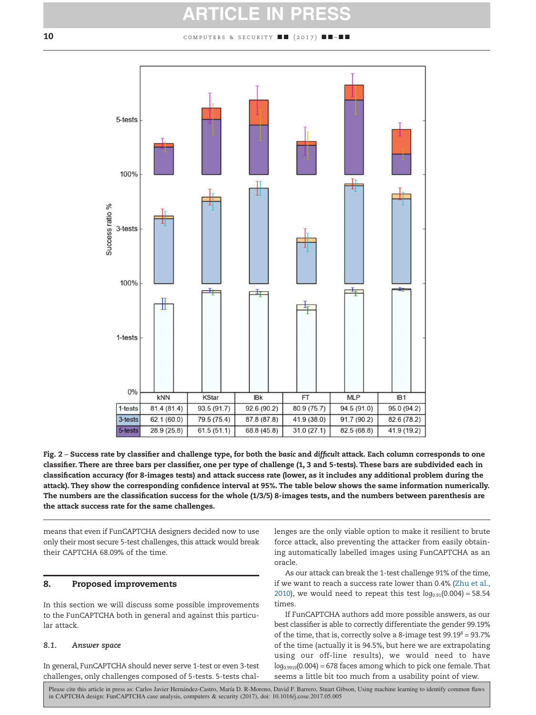### **ARTICLE IN PRESS**

#### 10 computers & security  $\blacksquare$  (2017)  $\blacksquare$



Fig. 2 – Success rate by classifier and challenge type, for both the *basic* and *difficult* attack. Each column corresponds to one classifier. There are three bars per classifier, one per type of challenge (1, 3 and 5-tests). These bars are subdivided each in classification accuracy (for 8-images tests) and attack success rate (lower, as it includes any additional problem during the attack). They show the corresponding confidence interval at 95%. The table below shows the same information numerically. The numbers are the classification success for the whole (1/3/5) 8-images tests, and the numbers between parenthesis are the attack success rate for the same challenges.

means that even if FunCAPTCHA designers decided now to use only their most secure 5-test challenges, this attack would break their CAPTCHA 68.09% of the time.

#### 8. Proposed improvements

In this section we will discuss some possible improvements to the FunCAPTCHA both in general and against this particular attack.

#### *8.1. Answer space*

In general, FunCAPTCHA should never serve 1-test or even 3-test challenges, only challenges composed of 5-tests. 5-tests chal<span id="page-10-8"></span><span id="page-10-7"></span><span id="page-10-6"></span><span id="page-10-5"></span><span id="page-10-4"></span><span id="page-10-3"></span><span id="page-10-2"></span>lenges are the only viable option to make it resilient to brute force attack, also preventing the attacker from easily obtaining automatically labelled images using FunCAPTCHA as an oracle.

<span id="page-10-1"></span>As our attack can break the 1-test challenge 91% of the time, if we want to reach a success rate lower than 0.4% [\(Zhu et al.,](#page-11-15) [2010\)](#page-11-15), we would need to repeat this test  $log_{0.91}(0.004) = 58.54$ times.

<span id="page-10-0"></span>If FunCAPTCHA authors add more possible answers, as our best classifier is able to correctly differentiate the gender 99.19% of the time, that is, correctly solve a 8-image test  $99.19^8 = 93.7\%$ of the time (actually it is 94.5%, but here we are extrapolating using our off-line results), we would need to have *log*0.9919(0.004) = 678 faces among which to pick one female.That seems a little bit too much from a usability point of view.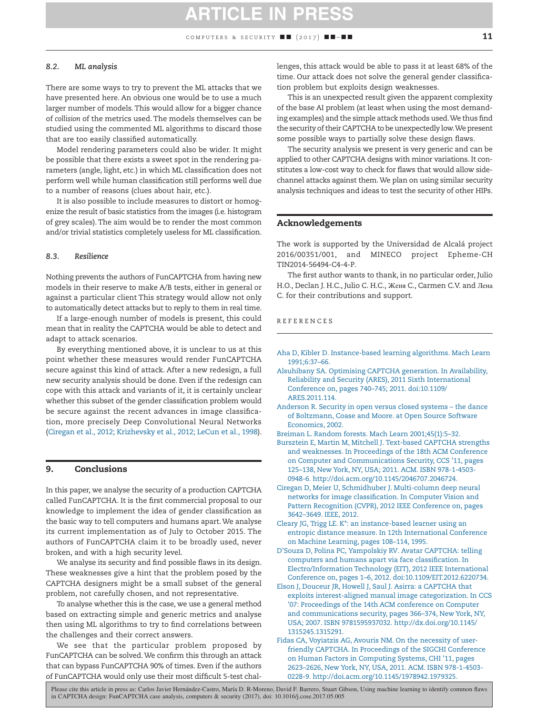#### <span id="page-11-23"></span>*8.2. ML analysis*

<span id="page-11-20"></span><span id="page-11-9"></span>There are some ways to try to prevent the ML attacks that we have presented here. An obvious one would be to use a much larger number of models. This would allow for a bigger chance of *collision* of the metrics used. The models themselves can be studied using the commented ML algorithms to discard those that are too easily classified automatically.

<span id="page-11-10"></span>Model rendering parameters could also be wider. It might be possible that there exists a sweet spot in the rendering parameters (angle, light, etc.) in which ML classification does not perform well while human classification still performs well due to a number of reasons (clues about hair, etc.).

<span id="page-11-13"></span>It is also possible to include measures to distort or homogenize the result of basic statistics from the images (i.e. histogram of grey scales). The aim would be to render the most common and/or trivial statistics completely useless for ML classification.

#### <span id="page-11-17"></span><span id="page-11-5"></span>*8.3. Resilience*

Nothing prevents the authors of FunCAPTCHA from having new models in their reserve to make A/B tests, either in general or against a particular client This strategy would allow not only to automatically detect attacks but to reply to them in real time.

If a large-enough number of models is present, this could mean that in reality the CAPTCHA would be able to detect and adapt to attack scenarios.

<span id="page-11-8"></span>By everything mentioned above, it is unclear to us at this point whether these measures would render FunCAPTCHA secure against this kind of attack. After a new redesign, a full new security analysis should be done. Even if the redesign can cope with this attack and variants of it, it is certainly unclear whether this subset of the gender classification problem would be secure against the recent advances in image classification, more precisely Deep Convolutional Neural Networks [\(Ciregan et al., 2012; Krizhevsky et al., 2012; LeCun et al., 1998\)](#page-10-2).

#### 9. Conclusions

In this paper, we analyse the security of a production CAPTCHA called FunCAPTCHA. It is the first commercial proposal to our knowledge to implement the idea of gender classification as the basic way to tell computers and humans apart. We analyse its current implementation as of July to October 2015. The authors of FunCAPTCHA claim it to be broadly used, never broken, and with a high security level.

<span id="page-11-22"></span><span id="page-11-16"></span>We analyse its security and find possible flaws in its design. These weaknesses give a hint that the problem posed by the CAPTCHA designers might be a small subset of the general problem, not carefully chosen, and not representative.

<span id="page-11-14"></span>To analyse whether this is the case, we use a general method based on extracting simple and generic metrics and analyse then using ML algorithms to try to find correlations between the challenges and their correct answers.

We see that the particular problem proposed by FunCAPTCHA can be solved. We confirm this through an attack that can bypass FunCAPTCHA 90% of times. Even if the authors of FunCAPTCHA would only use their most difficult 5-test challenges, this attack would be able to pass it at least 68% of the time. Our attack does not solve the general gender classification problem but exploits design weaknesses.

This is an unexpected result given the apparent complexity of the base AI problem (at least when using the most demanding examples) and the simple attack methods used.We thus find the security of their CAPTCHA to be unexpectedly low.We present some possible ways to partially solve these design flaws.

<span id="page-11-19"></span><span id="page-11-18"></span>The security analysis we present is very generic and can be applied to other CAPTCHA designs with minor variations. It constitutes a low-cost way to check for flaws that would allow sidechannel attacks against them. We plan on using similar security analysis techniques and ideas to test the security of other HIPs.

#### <span id="page-11-2"></span>Acknowledgements

<span id="page-11-0"></span>The work is supported by the Universidad de Alcalá project 2016/00351/001, and MINECO project Epheme-CH TIN2014-56494-C4-4-P.

<span id="page-11-11"></span>The first author wants to thank, in no particular order, Julio H.O., Declan J. H.C., Julio C. H.C., Женя C., Carmen C.V. and Лена C. for their contributions and support.

#### <span id="page-11-21"></span><span id="page-11-7"></span>REFERENCES

- [Aha D, Kibler D. Instance-based learning algorithms. Mach Learn](http://refhub.elsevier.com/S0167-4048(17)30112-8/sr0010) [1991;6:37–66.](http://refhub.elsevier.com/S0167-4048(17)30112-8/sr0010)
- [Alsuhibany SA. Optimising CAPTCHA generation. In Availability,](http://refhub.elsevier.com/S0167-4048(17)30112-8/sr0015) [Reliability and Security \(ARES\), 2011 Sixth International](http://refhub.elsevier.com/S0167-4048(17)30112-8/sr0015) [Conference on, pages 740–745; 2011. doi:10.1109/](http://refhub.elsevier.com/S0167-4048(17)30112-8/sr0015) [ARES.2011.114.](http://refhub.elsevier.com/S0167-4048(17)30112-8/sr0015)
- [Anderson R. Security in open versus closed systems the dance](http://refhub.elsevier.com/S0167-4048(17)30112-8/sr0020) [of Boltzmann, Coase and Moore. at Open Source Software](http://refhub.elsevier.com/S0167-4048(17)30112-8/sr0020) [Economics, 2002.](http://refhub.elsevier.com/S0167-4048(17)30112-8/sr0020)
- [Breiman L. Random forests. Mach Learn 2001;45\(1\):5–32.](http://refhub.elsevier.com/S0167-4048(17)30112-8/sr0025)
- <span id="page-11-1"></span>[Bursztein E, Martin M, Mitchell J. Text-based CAPTCHA strengths](http://refhub.elsevier.com/S0167-4048(17)30112-8/sr0030) [and weaknesses. In Proceedings of the 18th ACM Conference](http://refhub.elsevier.com/S0167-4048(17)30112-8/sr0030) [on Computer and Communications Security, CCS '11, pages](http://refhub.elsevier.com/S0167-4048(17)30112-8/sr0030) [125–138, New York, NY, USA; 2011. ACM. ISBN 978-1-4503-](http://refhub.elsevier.com/S0167-4048(17)30112-8/sr0030) 0948-6. [http://doi.acm.org/10.1145/2046707.2046724.](http://doi.acm.org/10.1145/2046707.2046724)
- <span id="page-11-12"></span>[Ciregan D, Meier U, Schmidhuber J. Multi-column deep neural](http://refhub.elsevier.com/S0167-4048(17)30112-8/sr0035) [networks for image classification. In Computer Vision and](http://refhub.elsevier.com/S0167-4048(17)30112-8/sr0035) [Pattern Recognition \(CVPR\), 2012 IEEE Conference on, pages](http://refhub.elsevier.com/S0167-4048(17)30112-8/sr0035) [3642–3649. IEEE, 2012.](http://refhub.elsevier.com/S0167-4048(17)30112-8/sr0035)
- <span id="page-11-6"></span>[Cleary JG, Trigg LE. K\\*: an instance-based learner using an](http://refhub.elsevier.com/S0167-4048(17)30112-8/sr0040) [entropic distance measure. In 12th International Conference](http://refhub.elsevier.com/S0167-4048(17)30112-8/sr0040) [on Machine Learning, pages 108–114, 1995.](http://refhub.elsevier.com/S0167-4048(17)30112-8/sr0040)
- [D'Souza D, Polina PC, Yampolskiy RV. Avatar CAPTCHA: telling](http://refhub.elsevier.com/S0167-4048(17)30112-8/sr0045) [computers and humans apart via face classification. In](http://refhub.elsevier.com/S0167-4048(17)30112-8/sr0045) [Electro/Information Technology \(EIT\), 2012 IEEE International](http://refhub.elsevier.com/S0167-4048(17)30112-8/sr0045) [Conference on, pages 1–6, 2012. doi:10.1109/EIT.2012.6220734.](http://refhub.elsevier.com/S0167-4048(17)30112-8/sr0045)
- <span id="page-11-4"></span><span id="page-11-3"></span>[Elson J, Douceur JR, Howell J, Saul J. Asirra: a CAPTCHA that](http://refhub.elsevier.com/S0167-4048(17)30112-8/sr0050) [exploits interest-aligned manual image categorization. In CCS](http://refhub.elsevier.com/S0167-4048(17)30112-8/sr0050) ['07: Proceedings of the 14th ACM conference on Computer](http://refhub.elsevier.com/S0167-4048(17)30112-8/sr0050) [and communications security, pages 366–374, New York, NY,](http://refhub.elsevier.com/S0167-4048(17)30112-8/sr0050) USA; 2007. ISBN 9781595937032. [http://dx.doi.org/10.1145/](http://dx.doi.org/10.1145/1315245.1315291) [1315245.1315291.](http://dx.doi.org/10.1145/1315245.1315291)
- <span id="page-11-15"></span>[Fidas CA, Voyiatzis AG, Avouris NM. On the necessity of user](http://refhub.elsevier.com/S0167-4048(17)30112-8/sr0055)[friendly CAPTCHA. In Proceedings of the SIGCHI Conference](http://refhub.elsevier.com/S0167-4048(17)30112-8/sr0055) [on Human Factors in Computing Systems, CHI '11, pages](http://refhub.elsevier.com/S0167-4048(17)30112-8/sr0055) [2623–2626, New York, NY, USA, 2011. ACM. ISBN 978-1-4503-](http://refhub.elsevier.com/S0167-4048(17)30112-8/sr0055) 0228-9. [http://doi.acm.org/10.1145/1978942.1979325.](http://doi.acm.org/10.1145/1978942.1979325)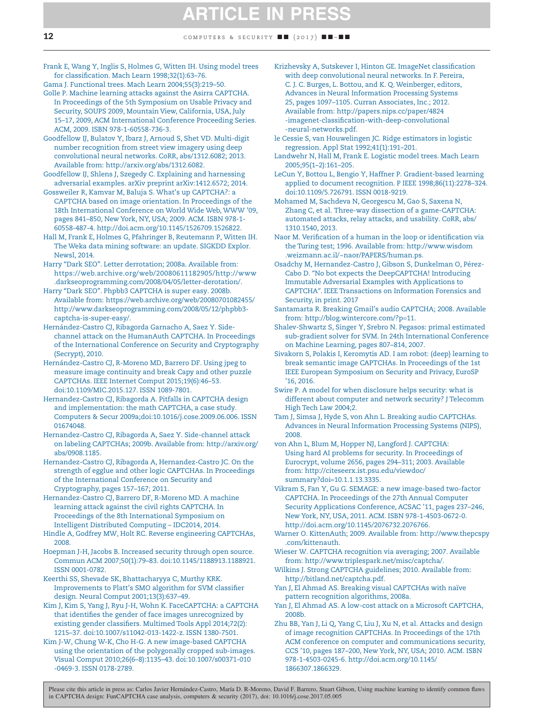[Frank E, Wang Y, Inglis S, Holmes G, Witten IH. Using model trees](http://refhub.elsevier.com/S0167-4048(17)30112-8/sr0060) [for classification. Mach Learn 1998;32\(1\):63–76.](http://refhub.elsevier.com/S0167-4048(17)30112-8/sr0060)

- [Gama J. Functional trees. Mach Learn 2004;55\(3\):219–50.](http://refhub.elsevier.com/S0167-4048(17)30112-8/sr0065) [Golle P. Machine learning attacks against the Asirra CAPTCHA.](http://refhub.elsevier.com/S0167-4048(17)30112-8/sr0070) [In Proceedings of the 5th Symposium on Usable Privacy and](http://refhub.elsevier.com/S0167-4048(17)30112-8/sr0070) [Security, SOUPS 2009, Mountain View, California, USA, July](http://refhub.elsevier.com/S0167-4048(17)30112-8/sr0070) [15–17, 2009, ACM International Conference Proceeding Series.](http://refhub.elsevier.com/S0167-4048(17)30112-8/sr0070) [ACM, 2009. ISBN 978-1-60558-736-3.](http://refhub.elsevier.com/S0167-4048(17)30112-8/sr0070)
- [Goodfellow IJ, Bulatov Y, Ibarz J, Arnoud S, Shet VD. Multi-digit](http://refhub.elsevier.com/S0167-4048(17)30112-8/sr0075) [number recognition from street view imagery using deep](http://refhub.elsevier.com/S0167-4048(17)30112-8/sr0075) [convolutional neural networks. CoRR, abs/1312.6082; 2013.](http://refhub.elsevier.com/S0167-4048(17)30112-8/sr0075) Available from: [http://arxiv.org/abs/1312.6082.](http://arxiv.org/abs/1312.6082)
- [Goodfellow IJ, Shlens J, Szegedy C. Explaining and harnessing](http://refhub.elsevier.com/S0167-4048(17)30112-8/sr0080) [adversarial examples. arXiv preprint arXiv:1412.6572; 2014.](http://refhub.elsevier.com/S0167-4048(17)30112-8/sr0080)
- [Gossweiler R, Kamvar M, Baluja S. What's up CAPTCHA?: a](http://refhub.elsevier.com/S0167-4048(17)30112-8/sr0085) [CAPTCHA based on image orientation. In Proceedings of the](http://refhub.elsevier.com/S0167-4048(17)30112-8/sr0085) [18th International Conference on World Wide Web, WWW '09,](http://refhub.elsevier.com/S0167-4048(17)30112-8/sr0085) [pages 841–850, New York, NY, USA; 2009. ACM. ISBN 978-1-](http://refhub.elsevier.com/S0167-4048(17)30112-8/sr0085) 60558-487-4. [http://doi.acm.org/10.1145/1526709.1526822.](http://doi.acm.org/10.1145/1526709.1526822)
- [Hall M, Frank E, Holmes G, Pfahringer B, Reutemann P, Witten IH.](http://refhub.elsevier.com/S0167-4048(17)30112-8/sr0090) [The Weka data mining software: an update. SIGKDD Explor.](http://refhub.elsevier.com/S0167-4048(17)30112-8/sr0090) [Newsl, 2014.](http://refhub.elsevier.com/S0167-4048(17)30112-8/sr0090)
- [Harry "Dark SEO". Letter derrotation; 2008a. Available from:](http://refhub.elsevier.com/S0167-4048(17)30112-8/sr0095) [https://web.archive.org/web/20080611182905/http://www](https://web.archive.org/web/20080611182905/http://www.darkseoprogramming.com/2008/04/05/letter-derotation/) [.darkseoprogramming.com/2008/04/05/letter-derotation/.](https://web.archive.org/web/20080611182905/http://www.darkseoprogramming.com/2008/04/05/letter-derotation/)
- [Harry "Dark SEO". Phpbb3 CAPTCHA is super easy. 2008b.](http://refhub.elsevier.com/S0167-4048(17)30112-8/sr0100) Available from: [https://web.archive.org/web/20080701082455/](https://web.archive.org/web/20080701082455/http://www.darkseoprogramming.com/2008/05/12/phpbb3-captcha-is-super-easy/) [http://www.darkseoprogramming.com/2008/05/12/phpbb3](https://web.archive.org/web/20080701082455/http://www.darkseoprogramming.com/2008/05/12/phpbb3-captcha-is-super-easy/) [captcha-is-super-easy/.](https://web.archive.org/web/20080701082455/http://www.darkseoprogramming.com/2008/05/12/phpbb3-captcha-is-super-easy/)
- [Hernández-Castro CJ, Ribagorda Garnacho A, Saez Y. Side](http://refhub.elsevier.com/S0167-4048(17)30112-8/sr0105)[channel attack on the HumanAuth CAPTCHA. In Proceedings](http://refhub.elsevier.com/S0167-4048(17)30112-8/sr0105) [of the International Conference on Security and Cryptography](http://refhub.elsevier.com/S0167-4048(17)30112-8/sr0105) [\(Secrypt\), 2010.](http://refhub.elsevier.com/S0167-4048(17)30112-8/sr0105)
- [Hernández-Castro CJ, R-Moreno MD, Barrero DF. Using jpeg to](http://refhub.elsevier.com/S0167-4048(17)30112-8/sr0110) [measure image continuity and break Capy and other puzzle](http://refhub.elsevier.com/S0167-4048(17)30112-8/sr0110) [CAPTCHAs. IEEE Internet Comput 2015;19\(6\):46–53.](http://refhub.elsevier.com/S0167-4048(17)30112-8/sr0110) [doi:10.1109/MIC.2015.127. ISSN 1089-7801.](http://refhub.elsevier.com/S0167-4048(17)30112-8/sr0110)
- [Hernandez-Castro CJ, Ribagorda A. Pitfalls in CAPTCHA design](http://refhub.elsevier.com/S0167-4048(17)30112-8/sr0115) [and implementation: the math CAPTCHA, a case study.](http://refhub.elsevier.com/S0167-4048(17)30112-8/sr0115) [Computers & Secur 2009a;doi:10.1016/j.cose.2009.06.006. ISSN](http://refhub.elsevier.com/S0167-4048(17)30112-8/sr0115) [01674048.](http://refhub.elsevier.com/S0167-4048(17)30112-8/sr0115)
- [Hernandez-Castro CJ, Ribagorda A, Saez Y. Side-channel attack](http://refhub.elsevier.com/S0167-4048(17)30112-8/sr0120) on labeling CAPTCHAs; 2009b. Available from: [http://arxiv.org/](http://arxiv.org/abs/0908.1185) [abs/0908.1185.](http://arxiv.org/abs/0908.1185)
- [Hernandez-Castro CJ, Ribagorda A, Hernandez-Castro JC. On the](http://refhub.elsevier.com/S0167-4048(17)30112-8/sr0125) [strength of egglue and other logic CAPTCHAs. In Proceedings](http://refhub.elsevier.com/S0167-4048(17)30112-8/sr0125) [of the International Conference on Security and](http://refhub.elsevier.com/S0167-4048(17)30112-8/sr0125) [Cryptography, pages 157–167; 2011.](http://refhub.elsevier.com/S0167-4048(17)30112-8/sr0125)
- [Hernandez-Castro CJ, Barrero DF, R-Moreno MD. A machine](http://refhub.elsevier.com/S0167-4048(17)30112-8/sr0130) [learning attack against the civil rights CAPTCHA. In](http://refhub.elsevier.com/S0167-4048(17)30112-8/sr0130) [Proceedings of the 8th International Symposium on](http://refhub.elsevier.com/S0167-4048(17)30112-8/sr0130) [Intelligent Distributed Computing – IDC2014, 2014.](http://refhub.elsevier.com/S0167-4048(17)30112-8/sr0130)
- [Hindle A, Godfrey MW, Holt RC. Reverse engineering CAPTCHAs,](http://refhub.elsevier.com/S0167-4048(17)30112-8/sr0135) [2008.](http://refhub.elsevier.com/S0167-4048(17)30112-8/sr0135)
- [Hoepman J-H, Jacobs B. Increased security through open source.](http://refhub.elsevier.com/S0167-4048(17)30112-8/sr0140) [Commun ACM 2007;50\(1\):79–83. doi:10.1145/1188913.1188921.](http://refhub.elsevier.com/S0167-4048(17)30112-8/sr0140) [ISSN 0001-0782.](http://refhub.elsevier.com/S0167-4048(17)30112-8/sr0140)
- [Keerthi SS, Shevade SK, Bhattacharyya C, Murthy KRK.](http://refhub.elsevier.com/S0167-4048(17)30112-8/sr0145) [Improvements to Platt's SMO algorithm for SVM classifier](http://refhub.elsevier.com/S0167-4048(17)30112-8/sr0145) [design. Neural Comput 2001;13\(3\):637–49.](http://refhub.elsevier.com/S0167-4048(17)30112-8/sr0145)
- [Kim J, Kim S, Yang J, Ryu J-H, Wohn K. FaceCAPTCHA: a CAPTCHA](http://refhub.elsevier.com/S0167-4048(17)30112-8/sr0150) [that identifies the gender of face images unrecognized by](http://refhub.elsevier.com/S0167-4048(17)30112-8/sr0150) [existing gender classifiers. Multimed Tools Appl 2014;72\(2\):](http://refhub.elsevier.com/S0167-4048(17)30112-8/sr0150) [1215–37. doi:10.1007/s11042-013-1422-z. ISSN 1380-7501.](http://refhub.elsevier.com/S0167-4048(17)30112-8/sr0150)
- [Kim J-W, Chung W-K, Cho H-G. A new image-based CAPTCHA](http://refhub.elsevier.com/S0167-4048(17)30112-8/sr0155) [using the orientation of the polygonally cropped sub-images.](http://refhub.elsevier.com/S0167-4048(17)30112-8/sr0155) [Visual Comput 2010;26\(6–8\):1135–43. doi:10.1007/s00371-010](http://refhub.elsevier.com/S0167-4048(17)30112-8/sr0155) [-0469-3. ISSN 0178-2789.](http://refhub.elsevier.com/S0167-4048(17)30112-8/sr0155)
- [Krizhevsky A, Sutskever I, Hinton GE. ImageNet classification](http://refhub.elsevier.com/S0167-4048(17)30112-8/sr0160) [with deep convolutional neural networks. In F. Pereira,](http://refhub.elsevier.com/S0167-4048(17)30112-8/sr0160) [C. J. C. Burges, L. Bottou, and K. Q. Weinberger, editors,](http://refhub.elsevier.com/S0167-4048(17)30112-8/sr0160) [Advances in Neural Information Processing Systems](http://refhub.elsevier.com/S0167-4048(17)30112-8/sr0160) [25, pages 1097–1105. Curran Associates, Inc.; 2012.](http://refhub.elsevier.com/S0167-4048(17)30112-8/sr0160) Available from: [http://papers.nips.cc/paper/4824](http://papers.nips.cc/paper/4824-imagenet-classification-with-deep-convolutional-neural-networks.pdf) [-imagenet-classification-with-deep-convolutional](http://papers.nips.cc/paper/4824-imagenet-classification-with-deep-convolutional-neural-networks.pdf) [-neural-networks.pdf.](http://papers.nips.cc/paper/4824-imagenet-classification-with-deep-convolutional-neural-networks.pdf)
- [le Cessie S, van Houwelingen JC. Ridge estimators in logistic](http://refhub.elsevier.com/S0167-4048(17)30112-8/sr0165) [regression. Appl Stat 1992;41\(1\):191–201.](http://refhub.elsevier.com/S0167-4048(17)30112-8/sr0165)
- [Landwehr N, Hall M, Frank E. Logistic model trees. Mach Learn](http://refhub.elsevier.com/S0167-4048(17)30112-8/sr0170) [2005;95\(1–2\):161–205.](http://refhub.elsevier.com/S0167-4048(17)30112-8/sr0170)
- [LeCun Y, Bottou L, Bengio Y, Haffner P. Gradient-based learning](http://refhub.elsevier.com/S0167-4048(17)30112-8/sr0175) [applied to document recognition. P IEEE 1998;86\(11\):2278–324.](http://refhub.elsevier.com/S0167-4048(17)30112-8/sr0175) [doi:10.1109/5.726791. ISSN 0018-9219.](http://refhub.elsevier.com/S0167-4048(17)30112-8/sr0175)
- [Mohamed M, Sachdeva N, Georgescu M, Gao S, Saxena N,](http://refhub.elsevier.com/S0167-4048(17)30112-8/sr0180) [Zhang C, et al. Three-way dissection of a game-CAPTCHA:](http://refhub.elsevier.com/S0167-4048(17)30112-8/sr0180) [automated attacks, relay attacks, and usability. CoRR, abs/](http://refhub.elsevier.com/S0167-4048(17)30112-8/sr0180) [1310.1540, 2013.](http://refhub.elsevier.com/S0167-4048(17)30112-8/sr0180)
- [Naor M. Verification of a human in the loop or identification via](http://refhub.elsevier.com/S0167-4048(17)30112-8/sr0185) the Turing test; 1996. Available from: [http://www.wisdom](http://www.wisdom.weizmann.ac.il/~naor/PAPERS/human.ps) [.weizmann.ac.il/~naor/PAPERS/human.ps.](http://www.wisdom.weizmann.ac.il/~naor/PAPERS/human.ps)
- [Osadchy M, Hernandez-Castro J, Gibson S, Dunkelman O, Pérez-](http://refhub.elsevier.com/S0167-4048(17)30112-8/sr9000)Cabo D. ″[No bot expects the DeepCAPTCHA! Introducing](http://refhub.elsevier.com/S0167-4048(17)30112-8/sr9000) [Immutable Adversarial Examples with Applications to](http://refhub.elsevier.com/S0167-4048(17)30112-8/sr9000) CAPTCHA″[. IEEE Transactions on Information Forensics and](http://refhub.elsevier.com/S0167-4048(17)30112-8/sr9000) [Security, in print. 2017](http://refhub.elsevier.com/S0167-4048(17)30112-8/sr9000)
- [Santamarta R. Breaking Gmail's audio CAPTCHA; 2008. Available](http://refhub.elsevier.com/S0167-4048(17)30112-8/sr0190) from: [http://blog.wintercore.com/?p](http://blog.wintercore.com/?p=11)=11.
- [Shalev-Shwartz S, Singer Y, Srebro N. Pegasos: primal estimated](http://refhub.elsevier.com/S0167-4048(17)30112-8/sr0195) [sub-gradient solver for SVM. In 24th International Conference](http://refhub.elsevier.com/S0167-4048(17)30112-8/sr0195) [on Machine Learning, pages 807–814, 2007.](http://refhub.elsevier.com/S0167-4048(17)30112-8/sr0195)
- [Sivakorn S, Polakis I, Keromytis AD. I am robot: \(deep\) learning to](http://refhub.elsevier.com/S0167-4048(17)30112-8/sr0200) [break semantic image CAPTCHAs. In Proceedings of the 1st](http://refhub.elsevier.com/S0167-4048(17)30112-8/sr0200) [IEEE European Symposium on Security and Privacy, EuroSP](http://refhub.elsevier.com/S0167-4048(17)30112-8/sr0200) ['16, 2016.](http://refhub.elsevier.com/S0167-4048(17)30112-8/sr0200)
- [Swire P. A model for when disclosure helps security: what is](http://refhub.elsevier.com/S0167-4048(17)30112-8/sr0205) [different about computer and network security? J Telecomm](http://refhub.elsevier.com/S0167-4048(17)30112-8/sr0205) [High Tech Law 2004;2.](http://refhub.elsevier.com/S0167-4048(17)30112-8/sr0205)
- [Tam J, Simsa J, Hyde S, von Ahn L. Breaking audio CAPTCHAs.](http://refhub.elsevier.com/S0167-4048(17)30112-8/sr0210) [Advances in Neural Information Processing Systems \(NIPS\),](http://refhub.elsevier.com/S0167-4048(17)30112-8/sr0210) [2008.](http://refhub.elsevier.com/S0167-4048(17)30112-8/sr0210)
- [von Ahn L, Blum M, Hopper NJ, Langford J. CAPTCHA:](http://refhub.elsevier.com/S0167-4048(17)30112-8/sr0215) [Using hard AI problems for security. In Proceedings of](http://refhub.elsevier.com/S0167-4048(17)30112-8/sr0215) [Eurocrypt, volume 2656, pages 294–311; 2003. Available](http://refhub.elsevier.com/S0167-4048(17)30112-8/sr0215) from: [http://citeseerx.ist.psu.edu/viewdoc/](http://citeseerx.ist.psu.edu/viewdoc/summary?doi=10.1.1.13.3335) summary?doi=[10.1.1.13.3335.](http://citeseerx.ist.psu.edu/viewdoc/summary?doi=10.1.1.13.3335)
- [Vikram S, Fan Y, Gu G. SEMAGE: a new image-based two-factor](http://refhub.elsevier.com/S0167-4048(17)30112-8/sr0220) [CAPTCHA. In Proceedings of the 27th Annual Computer](http://refhub.elsevier.com/S0167-4048(17)30112-8/sr0220) [Security Applications Conference, ACSAC '11, pages 237–246,](http://refhub.elsevier.com/S0167-4048(17)30112-8/sr0220) [New York, NY, USA, 2011. ACM. ISBN 978-1-4503-0672-0.](http://refhub.elsevier.com/S0167-4048(17)30112-8/sr0220) [http://doi.acm.org/10.1145/2076732.2076766.](http://doi.acm.org/10.1145/2076732.2076766)
- Warner O. KittenAuth; 2009. Available from: [http://www.thepcspy](http://www.thepcspy.com/kittenauth) [.com/kittenauth.](http://www.thepcspy.com/kittenauth)
- [Wieser W. CAPTCHA recognition via averaging; 2007. Available](http://refhub.elsevier.com/S0167-4048(17)30112-8/sr0230) from: [http://www.triplespark.net/misc/captcha/.](http://www.triplespark.net/misc/captcha/)
- [Wilkins J. Strong CAPTCHA guidelines; 2010. Available from:](http://refhub.elsevier.com/S0167-4048(17)30112-8/sr0235) [http://bitland.net/captcha.pdf.](http://bitland.net/captcha.pdf)
- [Yan J, El Ahmad AS. Breaking visual CAPTCHAs with naïve](http://refhub.elsevier.com/S0167-4048(17)30112-8/sr0240) [pattern recognition algorithms, 2008a.](http://refhub.elsevier.com/S0167-4048(17)30112-8/sr0240)
- [Yan J, El Ahmad AS. A low-cost attack on a Microsoft CAPTCHA,](http://refhub.elsevier.com/S0167-4048(17)30112-8/sr0245) [2008b.](http://refhub.elsevier.com/S0167-4048(17)30112-8/sr0245)
- [Zhu BB, Yan J, Li Q, Yang C, Liu J, Xu N, et al. Attacks and design](http://refhub.elsevier.com/S0167-4048(17)30112-8/sr0250) [of image recognition CAPTCHAs. In Proceedings of the 17th](http://refhub.elsevier.com/S0167-4048(17)30112-8/sr0250) [ACM conference on computer and communications security,](http://refhub.elsevier.com/S0167-4048(17)30112-8/sr0250) [CCS '10, pages 187–200, New York, NY, USA; 2010. ACM. ISBN](http://refhub.elsevier.com/S0167-4048(17)30112-8/sr0250) 978-1-4503-0245-6. [http://doi.acm.org/10.1145/](http://doi.acm.org/10.1145/1866307.1866329) [1866307.1866329.](http://doi.acm.org/10.1145/1866307.1866329)